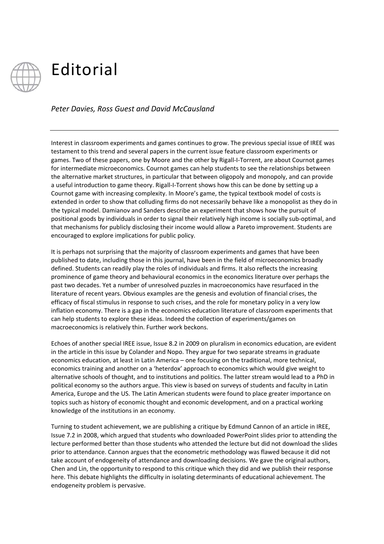

## Editorial

## *Peter Davies, Ross Guest and David McCausland*

Interest in classroom experiments and games continues to grow. The previous special issue of IREE was testament to this trend and several papers in the current issue feature classroom experiments or games. Two of these papers, one by Moore and the other by Rigall-I-Torrent, are about Cournot games for intermediate microeconomics. Cournot games can help students to see the relationships between the alternative market structures, in particular that between oligopoly and monopoly, and can provide a useful introduction to game theory. Rigall‐I‐Torrent shows how this can be done by setting up a Cournot game with increasing complexity. In Moore's game, the typical textbook model of costs is extended in order to show that colluding firms do not necessarily behave like a monopolist as they do in the typical model. Damianov and Sanders describe an experiment that shows how the pursuit of positional goods by individuals in order to signal their relatively high income is socially sub‐optimal, and that mechanisms for publicly disclosing their income would allow a Pareto improvement. Students are encouraged to explore implications for public policy.

It is perhaps not surprising that the majority of classroom experiments and games that have been published to date, including those in this journal, have been in the field of microeconomics broadly defined. Students can readily play the roles of individuals and firms. It also reflects the increasing prominence of game theory and behavioural economics in the economics literature over perhaps the past two decades. Yet a number of unresolved puzzles in macroeconomics have resurfaced in the literature of recent years. Obvious examples are the genesis and evolution of financial crises, the efficacy of fiscal stimulus in response to such crises, and the role for monetary policy in a very low inflation economy. There is a gap in the economics education literature of classroom experiments that can help students to explore these ideas. Indeed the collection of experiments/games on macroeconomics is relatively thin. Further work beckons.

Echoes of another special IREE issue, Issue 8.2 in 2009 on pluralism in economics education, are evident in the article in this issue by Colander and Nopo. They argue for two separate streams in graduate economics education, at least in Latin America – one focusing on the traditional, more technical, economics training and another on a 'heterdox' approach to economics which would give weight to alternative schools of thought, and to institutions and politics. The latter stream would lead to a PhD in political economy so the authors argue. This view is based on surveys of students and faculty in Latin America, Europe and the US. The Latin American students were found to place greater importance on topics such as history of economic thought and economic development, and on a practical working knowledge of the institutions in an economy.

Turning to student achievement, we are publishing a critique by Edmund Cannon of an article in IREE, Issue 7.2 in 2008, which argued that students who downloaded PowerPoint slides prior to attending the lecture performed better than those students who attended the lecture but did not download the slides prior to attendance. Cannon argues that the econometric methodology was flawed because it did not take account of endogeneity of attendance and downloading decisions. We gave the original authors, Chen and Lin, the opportunity to respond to this critique which they did and we publish their response here. This debate highlights the difficulty in isolating determinants of educational achievement. The endogeneity problem is pervasive.